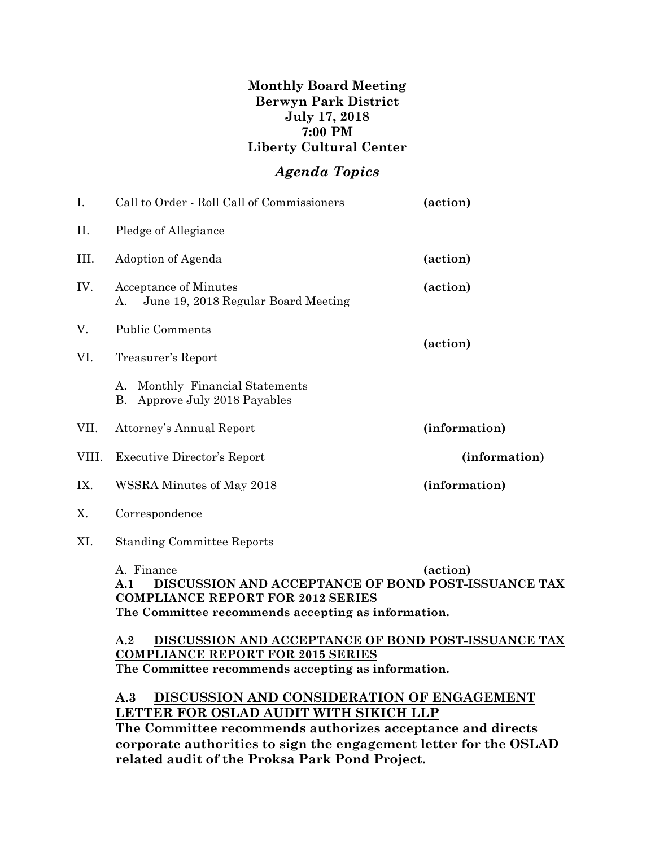## **Monthly Board Meeting Berwyn Park District July 17, 2018 7:00 PM Liberty Cultural Center**

# *Agenda Topics*

| Ι.    | Call to Order - Roll Call of Commissioners<br>(action)                 |               |  |  |
|-------|------------------------------------------------------------------------|---------------|--|--|
| П.    | Pledge of Allegiance                                                   |               |  |  |
| Ш.    | Adoption of Agenda<br>(action)                                         |               |  |  |
| IV.   | Acceptance of Minutes<br>June 19, 2018 Regular Board Meeting<br>А.     | (action)      |  |  |
| V.    | <b>Public Comments</b>                                                 |               |  |  |
| VI.   | Treasurer's Report                                                     | (action)      |  |  |
|       | Monthly Financial Statements<br>А.<br>Approve July 2018 Payables<br>В. |               |  |  |
| VII.  | Attorney's Annual Report                                               | (information) |  |  |
| VIII. | (information)<br><b>Executive Director's Report</b>                    |               |  |  |
| IX.   | WSSRA Minutes of May 2018                                              | (information) |  |  |
| X.    | Correspondence                                                         |               |  |  |
| XI.   | <b>Standing Committee Reports</b>                                      |               |  |  |

A. Finance **(action) A.1 DISCUSSION AND ACCEPTANCE OF BOND POST-ISSUANCE TAX COMPLIANCE REPORT FOR 2012 SERIES The Committee recommends accepting as information.**

#### **A.2 DISCUSSION AND ACCEPTANCE OF BOND POST-ISSUANCE TAX COMPLIANCE REPORT FOR 2015 SERIES The Committee recommends accepting as information.**

## **A.3 DISCUSSION AND CONSIDERATION OF ENGAGEMENT LETTER FOR OSLAD AUDIT WITH SIKICH LLP**

**The Committee recommends authorizes acceptance and directs corporate authorities to sign the engagement letter for the OSLAD related audit of the Proksa Park Pond Project.**